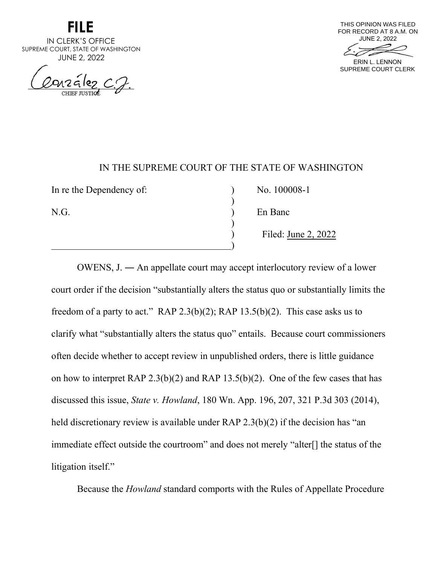**FILE** 

IN CLERK'S OFFICE SUPREME COURT, STATE OF WASHINGTON JUNE 2, 2022

nzález C.J.



### IN THE SUPREME COURT OF THE STATE OF WASHINGTON

)

)

)

In re the Dependency of:  $\qquad \qquad$  ) No. 100008-1

N.G. ) En Banc

) Filed: June 2, 2022

OWENS, J. ― An appellate court may accept interlocutory review of a lower court order if the decision "substantially alters the status quo or substantially limits the freedom of a party to act." RAP 2.3(b)(2); RAP 13.5(b)(2). This case asks us to clarify what "substantially alters the status quo" entails. Because court commissioners often decide whether to accept review in unpublished orders, there is little guidance on how to interpret RAP 2.3(b)(2) and RAP 13.5(b)(2). One of the few cases that has discussed this issue, *State v. Howland*, 180 Wn. App. 196, 207, 321 P.3d 303 (2014), held discretionary review is available under RAP 2.3(b)(2) if the decision has "an immediate effect outside the courtroom" and does not merely "alter[] the status of the litigation itself."

Because the *Howland* standard comports with the Rules of Appellate Procedure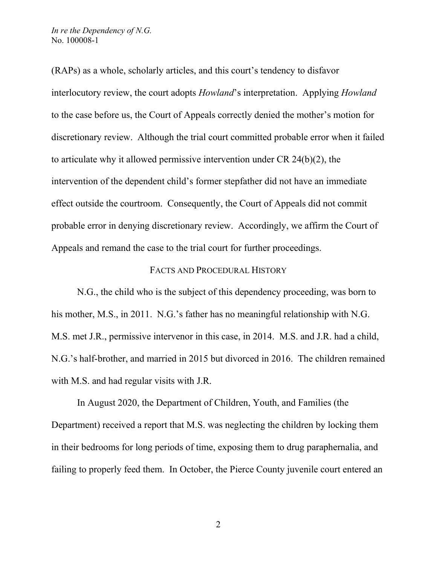(RAPs) as a whole, scholarly articles, and this court's tendency to disfavor interlocutory review, the court adopts *Howland*'s interpretation. Applying *Howland* to the case before us, the Court of Appeals correctly denied the mother's motion for discretionary review. Although the trial court committed probable error when it failed to articulate why it allowed permissive intervention under CR 24(b)(2), the intervention of the dependent child's former stepfather did not have an immediate effect outside the courtroom. Consequently, the Court of Appeals did not commit probable error in denying discretionary review. Accordingly, we affirm the Court of Appeals and remand the case to the trial court for further proceedings.

#### FACTS AND PROCEDURAL HISTORY

N.G., the child who is the subject of this dependency proceeding, was born to his mother, M.S., in 2011. N.G.'s father has no meaningful relationship with N.G. M.S. met J.R., permissive intervenor in this case, in 2014. M.S. and J.R. had a child, N.G.'s half-brother, and married in 2015 but divorced in 2016. The children remained with M.S. and had regular visits with J.R.

In August 2020, the Department of Children, Youth, and Families (the Department) received a report that M.S. was neglecting the children by locking them in their bedrooms for long periods of time, exposing them to drug paraphernalia, and failing to properly feed them. In October, the Pierce County juvenile court entered an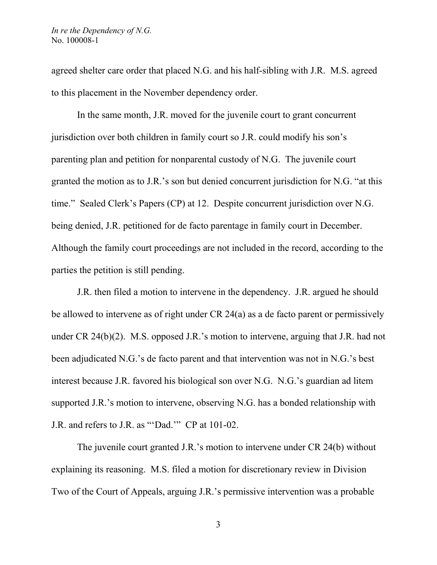agreed shelter care order that placed N.G. and his half-sibling with J.R. M.S. agreed to this placement in the November dependency order.

In the same month, J.R. moved for the juvenile court to grant concurrent jurisdiction over both children in family court so J.R. could modify his son's parenting plan and petition for nonparental custody of N.G. The juvenile court granted the motion as to J.R.'s son but denied concurrent jurisdiction for N.G. "at this time." Sealed Clerk's Papers (CP) at 12. Despite concurrent jurisdiction over N.G. being denied, J.R. petitioned for de facto parentage in family court in December. Although the family court proceedings are not included in the record, according to the parties the petition is still pending.

J.R. then filed a motion to intervene in the dependency. J.R. argued he should be allowed to intervene as of right under CR 24(a) as a de facto parent or permissively under CR 24(b)(2). M.S. opposed J.R.'s motion to intervene, arguing that J.R. had not been adjudicated N.G.'s de facto parent and that intervention was not in N.G.'s best interest because J.R. favored his biological son over N.G. N.G.'s guardian ad litem supported J.R.'s motion to intervene, observing N.G. has a bonded relationship with J.R. and refers to J.R. as "'Dad.'" CP at 101-02.

The juvenile court granted J.R.'s motion to intervene under CR 24(b) without explaining its reasoning. M.S. filed a motion for discretionary review in Division Two of the Court of Appeals, arguing J.R.'s permissive intervention was a probable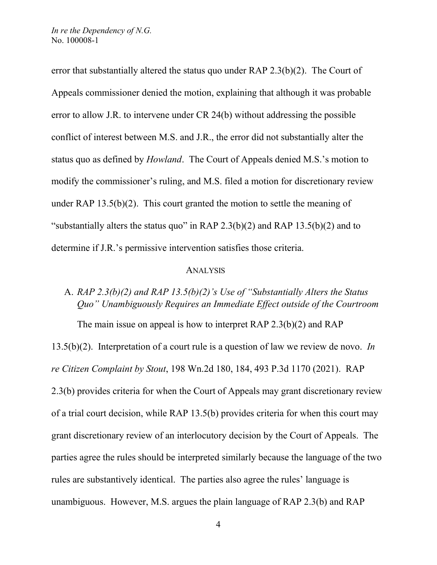error that substantially altered the status quo under RAP 2.3(b)(2). The Court of Appeals commissioner denied the motion, explaining that although it was probable error to allow J.R. to intervene under CR 24(b) without addressing the possible conflict of interest between M.S. and J.R., the error did not substantially alter the status quo as defined by *Howland*. The Court of Appeals denied M.S.'s motion to modify the commissioner's ruling, and M.S. filed a motion for discretionary review under RAP 13.5(b)(2). This court granted the motion to settle the meaning of "substantially alters the status quo" in RAP  $2.3(b)(2)$  and RAP  $13.5(b)(2)$  and to determine if J.R.'s permissive intervention satisfies those criteria.

### ANALYSIS

# A. *RAP 2.3(b)(2) and RAP 13.5(b)(2)'s Use of "Substantially Alters the Status Quo" Unambiguously Requires an Immediate Effect outside of the Courtroom*

The main issue on appeal is how to interpret RAP 2.3(b)(2) and RAP

13.5(b)(2). Interpretation of a court rule is a question of law we review de novo. *In re Citizen Complaint by Stout*, 198 Wn.2d 180, 184, 493 P.3d 1170 (2021). RAP 2.3(b) provides criteria for when the Court of Appeals may grant discretionary review of a trial court decision, while RAP 13.5(b) provides criteria for when this court may grant discretionary review of an interlocutory decision by the Court of Appeals. The parties agree the rules should be interpreted similarly because the language of the two rules are substantively identical. The parties also agree the rules' language is unambiguous. However, M.S. argues the plain language of RAP 2.3(b) and RAP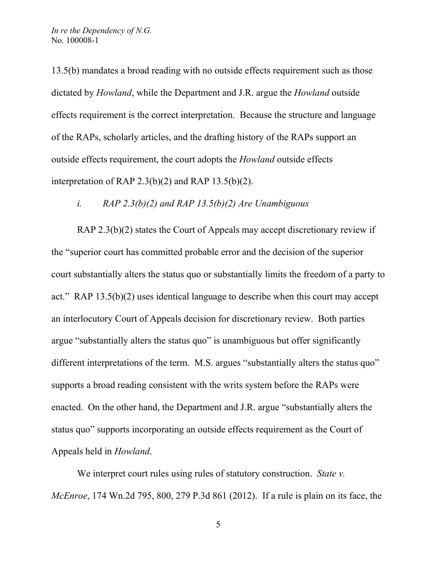13.5(b) mandates a broad reading with no outside effects requirement such as those dictated by *Howland*, while the Department and J.R. argue the *Howland* outside effects requirement is the correct interpretation. Because the structure and language of the RAPs, scholarly articles, and the drafting history of the RAPs support an outside effects requirement, the court adopts the *Howland* outside effects interpretation of RAP 2.3(b)(2) and RAP 13.5(b)(2).

# *i. RAP 2.3(b)(2) and RAP 13.5(b)(2) Are Unambiguous*

RAP 2.3(b)(2) states the Court of Appeals may accept discretionary review if the "superior court has committed probable error and the decision of the superior court substantially alters the status quo or substantially limits the freedom of a party to act." RAP 13.5(b)(2) uses identical language to describe when this court may accept an interlocutory Court of Appeals decision for discretionary review. Both parties argue "substantially alters the status quo" is unambiguous but offer significantly different interpretations of the term. M.S. argues "substantially alters the status quo" supports a broad reading consistent with the writs system before the RAPs were enacted. On the other hand, the Department and J.R. argue "substantially alters the status quo" supports incorporating an outside effects requirement as the Court of Appeals held in *Howland*.

We interpret court rules using rules of statutory construction. *State v. McEnroe*, 174 Wn.2d 795, 800, 279 P.3d 861 (2012). If a rule is plain on its face, the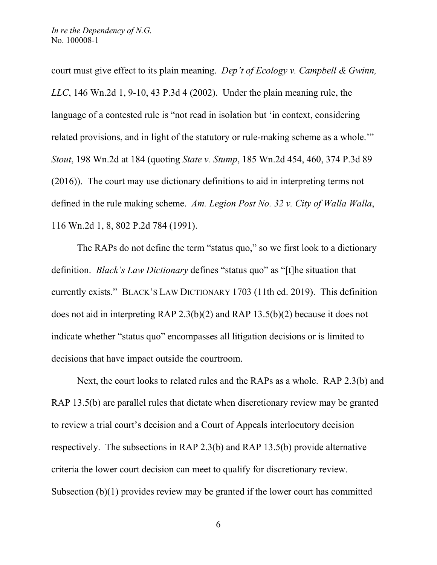court must give effect to its plain meaning. *Dep't of Ecology v. Campbell & Gwinn, LLC*, 146 Wn.2d 1, 9-10, 43 P.3d 4 (2002). Under the plain meaning rule, the language of a contested rule is "not read in isolation but 'in context, considering related provisions, and in light of the statutory or rule-making scheme as a whole.'" *Stout*, 198 Wn.2d at 184 (quoting *State v. Stump*, 185 Wn.2d 454, 460, 374 P.3d 89 (2016)). The court may use dictionary definitions to aid in interpreting terms not defined in the rule making scheme. *Am. Legion Post No. 32 v. City of Walla Walla*, 116 Wn.2d 1, 8, 802 P.2d 784 (1991).

The RAPs do not define the term "status quo," so we first look to a dictionary definition. *Black's Law Dictionary* defines "status quo" as "[t]he situation that currently exists." BLACK'S LAW DICTIONARY 1703 (11th ed. 2019). This definition does not aid in interpreting RAP 2.3(b)(2) and RAP 13.5(b)(2) because it does not indicate whether "status quo" encompasses all litigation decisions or is limited to decisions that have impact outside the courtroom.

Next, the court looks to related rules and the RAPs as a whole. RAP 2.3(b) and RAP 13.5(b) are parallel rules that dictate when discretionary review may be granted to review a trial court's decision and a Court of Appeals interlocutory decision respectively. The subsections in RAP 2.3(b) and RAP 13.5(b) provide alternative criteria the lower court decision can meet to qualify for discretionary review. Subsection (b)(1) provides review may be granted if the lower court has committed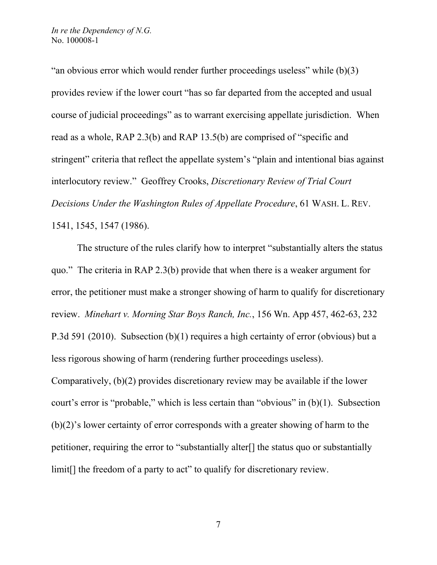"an obvious error which would render further proceedings useless" while (b)(3) provides review if the lower court "has so far departed from the accepted and usual course of judicial proceedings" as to warrant exercising appellate jurisdiction. When read as a whole, RAP 2.3(b) and RAP 13.5(b) are comprised of "specific and stringent" criteria that reflect the appellate system's "plain and intentional bias against interlocutory review." Geoffrey Crooks, *Discretionary Review of Trial Court Decisions Under the Washington Rules of Appellate Procedure*, 61 WASH. L. REV. 1541, 1545, 1547 (1986).

The structure of the rules clarify how to interpret "substantially alters the status quo." The criteria in RAP 2.3(b) provide that when there is a weaker argument for error, the petitioner must make a stronger showing of harm to qualify for discretionary review. *Minehart v. Morning Star Boys Ranch, Inc.*, 156 Wn. App 457, 462-63, 232 P.3d 591 (2010). Subsection (b)(1) requires a high certainty of error (obvious) but a less rigorous showing of harm (rendering further proceedings useless). Comparatively, (b)(2) provides discretionary review may be available if the lower court's error is "probable," which is less certain than "obvious" in (b)(1). Subsection (b)(2)'s lower certainty of error corresponds with a greater showing of harm to the petitioner, requiring the error to "substantially alter[] the status quo or substantially limit. If the freedom of a party to act" to qualify for discretionary review.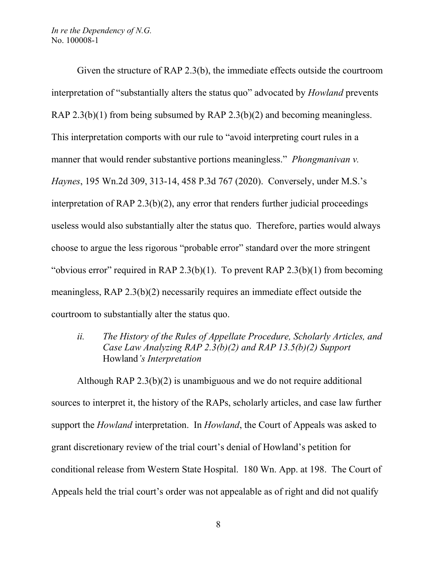*In re the Dependency of N.G.* No. 100008-1

Given the structure of RAP 2.3(b), the immediate effects outside the courtroom interpretation of "substantially alters the status quo" advocated by *Howland* prevents RAP 2.3(b)(1) from being subsumed by RAP 2.3(b)(2) and becoming meaningless. This interpretation comports with our rule to "avoid interpreting court rules in a manner that would render substantive portions meaningless." *Phongmanivan v. Haynes*, 195 Wn.2d 309, 313-14, 458 P.3d 767 (2020). Conversely, under M.S.'s interpretation of RAP 2.3(b)(2), any error that renders further judicial proceedings useless would also substantially alter the status quo. Therefore, parties would always choose to argue the less rigorous "probable error" standard over the more stringent "obvious error" required in RAP 2.3(b)(1). To prevent RAP 2.3(b)(1) from becoming meaningless, RAP 2.3(b)(2) necessarily requires an immediate effect outside the courtroom to substantially alter the status quo.

*ii. The History of the Rules of Appellate Procedure, Scholarly Articles, and Case Law Analyzing RAP 2.3(b)(2) and RAP 13.5(b)(2) Support* Howland*'s Interpretation*

Although RAP 2.3(b)(2) is unambiguous and we do not require additional sources to interpret it, the history of the RAPs, scholarly articles, and case law further support the *Howland* interpretation. In *Howland*, the Court of Appeals was asked to grant discretionary review of the trial court's denial of Howland's petition for conditional release from Western State Hospital. 180 Wn. App. at 198. The Court of Appeals held the trial court's order was not appealable as of right and did not qualify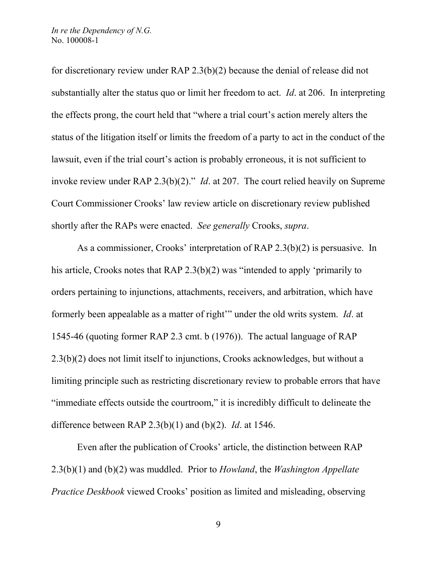for discretionary review under RAP 2.3(b)(2) because the denial of release did not substantially alter the status quo or limit her freedom to act. *Id*. at 206. In interpreting the effects prong, the court held that "where a trial court's action merely alters the status of the litigation itself or limits the freedom of a party to act in the conduct of the lawsuit, even if the trial court's action is probably erroneous, it is not sufficient to invoke review under RAP 2.3(b)(2)." *Id*. at 207. The court relied heavily on Supreme Court Commissioner Crooks' law review article on discretionary review published shortly after the RAPs were enacted. *See generally* Crooks, *supra*.

As a commissioner, Crooks' interpretation of RAP 2.3(b)(2) is persuasive. In his article, Crooks notes that RAP 2.3(b)(2) was "intended to apply 'primarily to orders pertaining to injunctions, attachments, receivers, and arbitration, which have formerly been appealable as a matter of right'" under the old writs system. *Id*. at 1545-46 (quoting former RAP 2.3 cmt. b (1976)). The actual language of RAP 2.3(b)(2) does not limit itself to injunctions, Crooks acknowledges, but without a limiting principle such as restricting discretionary review to probable errors that have "immediate effects outside the courtroom," it is incredibly difficult to delineate the difference between RAP 2.3(b)(1) and (b)(2). *Id*. at 1546.

Even after the publication of Crooks' article, the distinction between RAP 2.3(b)(1) and (b)(2) was muddled. Prior to *Howland*, the *Washington Appellate Practice Deskbook* viewed Crooks' position as limited and misleading, observing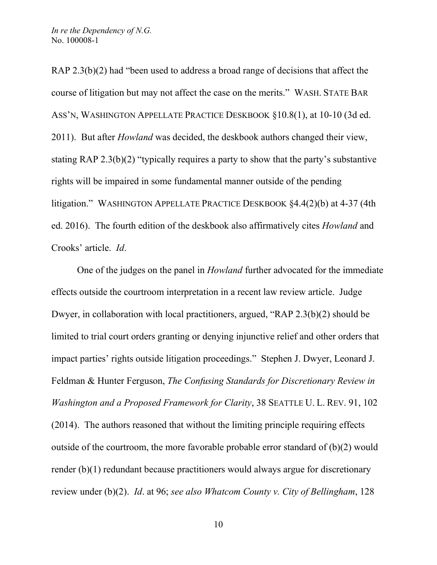RAP 2.3(b)(2) had "been used to address a broad range of decisions that affect the course of litigation but may not affect the case on the merits." WASH. STATE BAR ASS'N, WASHINGTON APPELLATE PRACTICE DESKBOOK §10.8(1), at 10-10 (3d ed. 2011). But after *Howland* was decided, the deskbook authors changed their view, stating RAP 2.3(b)(2) "typically requires a party to show that the party's substantive rights will be impaired in some fundamental manner outside of the pending litigation." WASHINGTON APPELLATE PRACTICE DESKBOOK §4.4(2)(b) at 4-37 (4th ed. 2016). The fourth edition of the deskbook also affirmatively cites *Howland* and Crooks' article. *Id*.

One of the judges on the panel in *Howland* further advocated for the immediate effects outside the courtroom interpretation in a recent law review article. Judge Dwyer, in collaboration with local practitioners, argued, "RAP 2.3(b)(2) should be limited to trial court orders granting or denying injunctive relief and other orders that impact parties' rights outside litigation proceedings." Stephen J. Dwyer, Leonard J. Feldman & Hunter Ferguson, *The Confusing Standards for Discretionary Review in Washington and a Proposed Framework for Clarity*, 38 SEATTLE U. L. REV. 91, 102 (2014). The authors reasoned that without the limiting principle requiring effects outside of the courtroom, the more favorable probable error standard of (b)(2) would render (b)(1) redundant because practitioners would always argue for discretionary review under (b)(2). *Id*. at 96; *see also Whatcom County v. City of Bellingham*, 128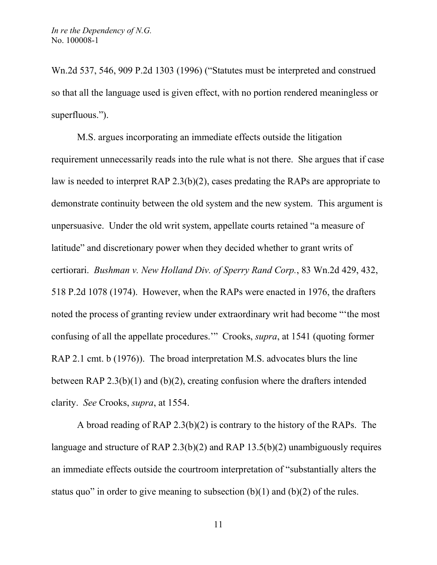Wn.2d 537, 546, 909 P.2d 1303 (1996) ("Statutes must be interpreted and construed so that all the language used is given effect, with no portion rendered meaningless or superfluous.").

M.S. argues incorporating an immediate effects outside the litigation requirement unnecessarily reads into the rule what is not there. She argues that if case law is needed to interpret RAP 2.3(b)(2), cases predating the RAPs are appropriate to demonstrate continuity between the old system and the new system. This argument is unpersuasive. Under the old writ system, appellate courts retained "a measure of latitude" and discretionary power when they decided whether to grant writs of certiorari. *Bushman v. New Holland Div. of Sperry Rand Corp.*, 83 Wn.2d 429, 432, 518 P.2d 1078 (1974). However, when the RAPs were enacted in 1976, the drafters noted the process of granting review under extraordinary writ had become "'the most confusing of all the appellate procedures.'" Crooks, *supra*, at 1541 (quoting former RAP 2.1 cmt. b (1976)). The broad interpretation M.S. advocates blurs the line between RAP 2.3(b)(1) and (b)(2), creating confusion where the drafters intended clarity. *See* Crooks, *supra*, at 1554.

A broad reading of RAP 2.3(b)(2) is contrary to the history of the RAPs. The language and structure of RAP 2.3(b)(2) and RAP 13.5(b)(2) unambiguously requires an immediate effects outside the courtroom interpretation of "substantially alters the status quo" in order to give meaning to subsection  $(b)(1)$  and  $(b)(2)$  of the rules.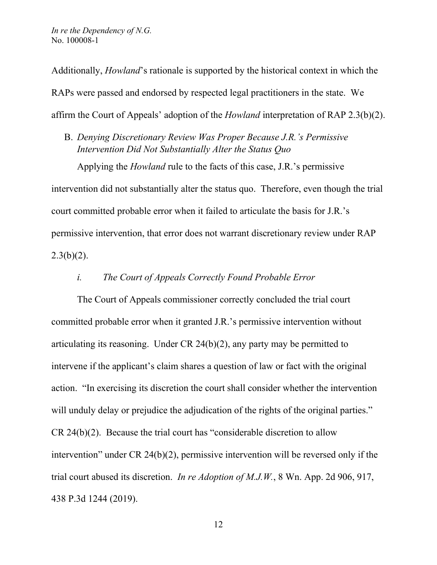Additionally, *Howland*'s rationale is supported by the historical context in which the RAPs were passed and endorsed by respected legal practitioners in the state. We affirm the Court of Appeals' adoption of the *Howland* interpretation of RAP 2.3(b)(2).

B. *Denying Discretionary Review Was Proper Because J.R.'s Permissive Intervention Did Not Substantially Alter the Status Quo*

Applying the *Howland* rule to the facts of this case, J.R.'s permissive intervention did not substantially alter the status quo. Therefore, even though the trial court committed probable error when it failed to articulate the basis for J.R.'s permissive intervention, that error does not warrant discretionary review under RAP  $2.3(b)(2)$ .

### *i. The Court of Appeals Correctly Found Probable Error*

The Court of Appeals commissioner correctly concluded the trial court committed probable error when it granted J.R.'s permissive intervention without articulating its reasoning. Under CR 24(b)(2), any party may be permitted to intervene if the applicant's claim shares a question of law or fact with the original action. "In exercising its discretion the court shall consider whether the intervention will unduly delay or prejudice the adjudication of the rights of the original parties." CR 24(b)(2). Because the trial court has "considerable discretion to allow intervention" under CR 24(b)(2), permissive intervention will be reversed only if the trial court abused its discretion. *In re Adoption of M.J.W.*, 8 Wn. App. 2d 906, 917, 438 P.3d 1244 (2019).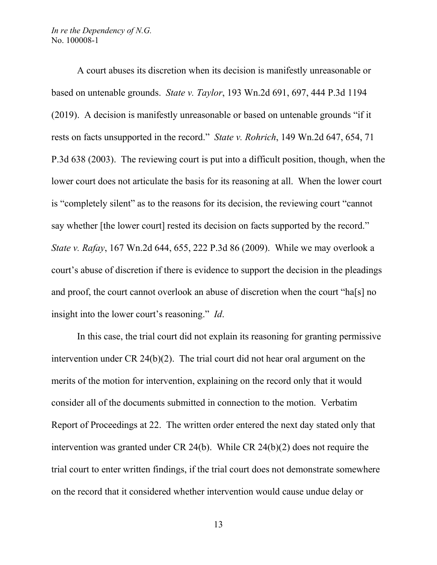A court abuses its discretion when its decision is manifestly unreasonable or based on untenable grounds. *State v. Taylor*, 193 Wn.2d 691, 697, 444 P.3d 1194 (2019). A decision is manifestly unreasonable or based on untenable grounds "if it rests on facts unsupported in the record." *State v. Rohrich*, 149 Wn.2d 647, 654, 71 P.3d 638 (2003). The reviewing court is put into a difficult position, though, when the lower court does not articulate the basis for its reasoning at all. When the lower court is "completely silent" as to the reasons for its decision, the reviewing court "cannot say whether [the lower court] rested its decision on facts supported by the record." *State v. Rafay*, 167 Wn.2d 644, 655, 222 P.3d 86 (2009). While we may overlook a court's abuse of discretion if there is evidence to support the decision in the pleadings and proof, the court cannot overlook an abuse of discretion when the court "ha[s] no insight into the lower court's reasoning." *Id*.

In this case, the trial court did not explain its reasoning for granting permissive intervention under CR 24(b)(2). The trial court did not hear oral argument on the merits of the motion for intervention, explaining on the record only that it would consider all of the documents submitted in connection to the motion. Verbatim Report of Proceedings at 22. The written order entered the next day stated only that intervention was granted under CR 24(b). While CR 24(b)(2) does not require the trial court to enter written findings, if the trial court does not demonstrate somewhere on the record that it considered whether intervention would cause undue delay or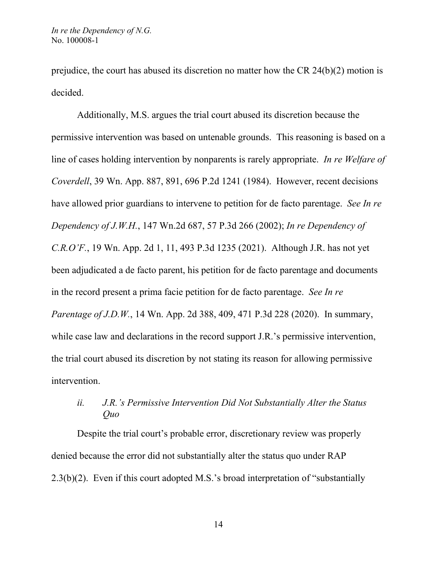prejudice, the court has abused its discretion no matter how the CR 24(b)(2) motion is decided.

Additionally, M.S. argues the trial court abused its discretion because the permissive intervention was based on untenable grounds. This reasoning is based on a line of cases holding intervention by nonparents is rarely appropriate. *In re Welfare of Coverdell*, 39 Wn. App. 887, 891, 696 P.2d 1241 (1984). However, recent decisions have allowed prior guardians to intervene to petition for de facto parentage. *See In re Dependency of J.W.H.*, 147 Wn.2d 687, 57 P.3d 266 (2002); *In re Dependency of C.R.O'F.*, 19 Wn. App. 2d 1, 11, 493 P.3d 1235 (2021). Although J.R. has not yet been adjudicated a de facto parent, his petition for de facto parentage and documents in the record present a prima facie petition for de facto parentage. *See In re Parentage of J.D.W.*, 14 Wn. App. 2d 388, 409, 471 P.3d 228 (2020). In summary, while case law and declarations in the record support J.R.'s permissive intervention, the trial court abused its discretion by not stating its reason for allowing permissive intervention.

# *ii. J.R.'s Permissive Intervention Did Not Substantially Alter the Status Quo*

Despite the trial court's probable error, discretionary review was properly denied because the error did not substantially alter the status quo under RAP 2.3(b)(2). Even if this court adopted M.S.'s broad interpretation of "substantially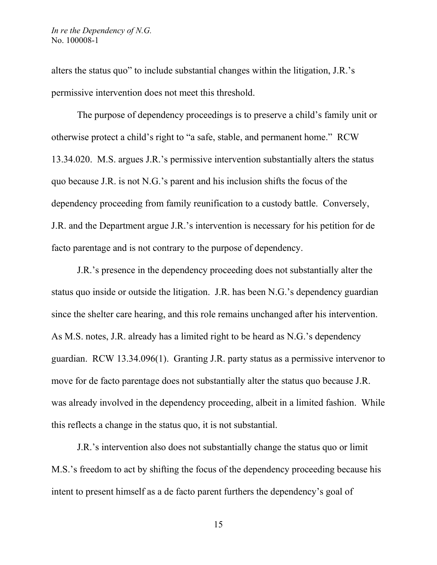alters the status quo" to include substantial changes within the litigation, J.R.'s permissive intervention does not meet this threshold.

The purpose of dependency proceedings is to preserve a child's family unit or otherwise protect a child's right to "a safe, stable, and permanent home." RCW 13.34.020. M.S. argues J.R.'s permissive intervention substantially alters the status quo because J.R. is not N.G.'s parent and his inclusion shifts the focus of the dependency proceeding from family reunification to a custody battle. Conversely, J.R. and the Department argue J.R.'s intervention is necessary for his petition for de facto parentage and is not contrary to the purpose of dependency.

J.R.'s presence in the dependency proceeding does not substantially alter the status quo inside or outside the litigation. J.R. has been N.G.'s dependency guardian since the shelter care hearing, and this role remains unchanged after his intervention. As M.S. notes, J.R. already has a limited right to be heard as N.G.'s dependency guardian. RCW 13.34.096(1). Granting J.R. party status as a permissive intervenor to move for de facto parentage does not substantially alter the status quo because J.R. was already involved in the dependency proceeding, albeit in a limited fashion. While this reflects a change in the status quo, it is not substantial.

J.R.'s intervention also does not substantially change the status quo or limit M.S.'s freedom to act by shifting the focus of the dependency proceeding because his intent to present himself as a de facto parent furthers the dependency's goal of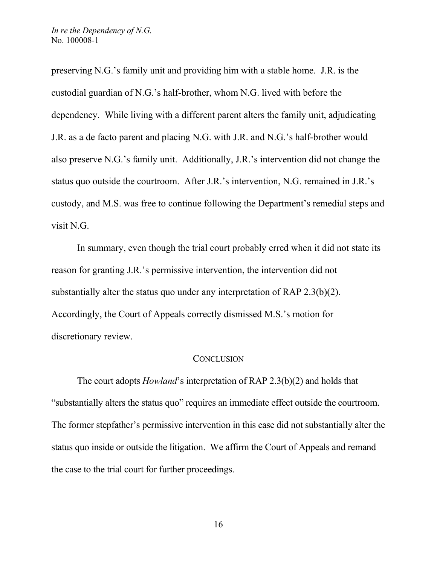preserving N.G.'s family unit and providing him with a stable home. J.R. is the custodial guardian of N.G.'s half-brother, whom N.G. lived with before the dependency. While living with a different parent alters the family unit, adjudicating J.R. as a de facto parent and placing N.G. with J.R. and N.G.'s half-brother would also preserve N.G.'s family unit. Additionally, J.R.'s intervention did not change the status quo outside the courtroom. After J.R.'s intervention, N.G. remained in J.R.'s custody, and M.S. was free to continue following the Department's remedial steps and visit N.G.

In summary, even though the trial court probably erred when it did not state its reason for granting J.R.'s permissive intervention, the intervention did not substantially alter the status quo under any interpretation of RAP 2.3(b)(2). Accordingly, the Court of Appeals correctly dismissed M.S.'s motion for discretionary review.

# **CONCLUSION**

The court adopts *Howland*'s interpretation of RAP 2.3(b)(2) and holds that "substantially alters the status quo" requires an immediate effect outside the courtroom. The former stepfather's permissive intervention in this case did not substantially alter the status quo inside or outside the litigation. We affirm the Court of Appeals and remand the case to the trial court for further proceedings.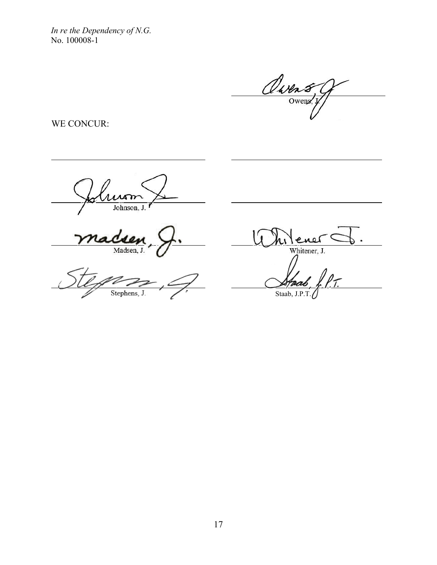*In re the Dependency of N.G.*  No. 100008-1

Owens

WE CONCUR:

<u>Autom</u> Johnson, J.

Madsen, J.

Stephens, J.

<u>Milene</u> Whitener, J.

Staab, J.P.T.

17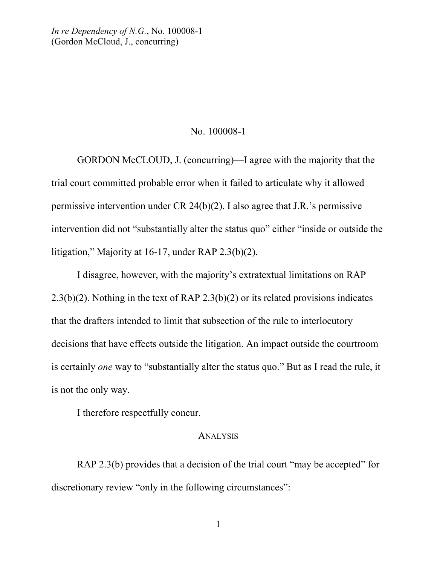# No. 100008-1

GORDON McCLOUD, J. (concurring)—I agree with the majority that the trial court committed probable error when it failed to articulate why it allowed permissive intervention under CR 24(b)(2). I also agree that J.R.'s permissive intervention did not "substantially alter the status quo" either "inside or outside the litigation," Majority at 16-17, under RAP 2.3(b)(2).

I disagree, however, with the majority's extratextual limitations on RAP 2.3(b)(2). Nothing in the text of RAP 2.3(b)(2) or its related provisions indicates that the drafters intended to limit that subsection of the rule to interlocutory decisions that have effects outside the litigation. An impact outside the courtroom is certainly *one* way to "substantially alter the status quo." But as I read the rule, it is not the only way.

I therefore respectfully concur.

#### **ANALYSIS**

RAP 2.3(b) provides that a decision of the trial court "may be accepted" for discretionary review "only in the following circumstances":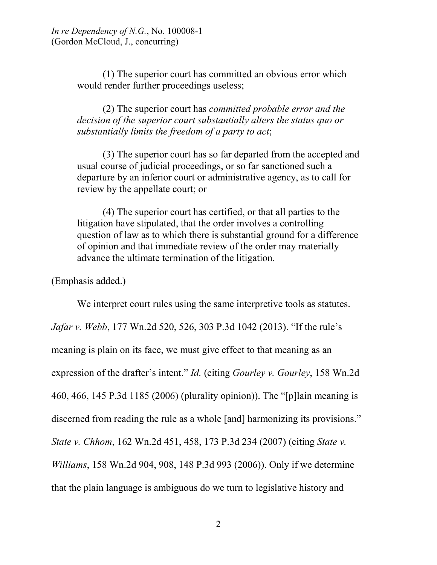(1) The superior court has committed an obvious error which would render further proceedings useless;

(2) The superior court has *committed probable error and the decision of the superior court substantially alters the status quo or substantially limits the freedom of a party to act*;

(3) The superior court has so far departed from the accepted and usual course of judicial proceedings, or so far sanctioned such a departure by an inferior court or administrative agency, as to call for review by the appellate court; or

(4) The superior court has certified, or that all parties to the litigation have stipulated, that the order involves a controlling question of law as to which there is substantial ground for a difference of opinion and that immediate review of the order may materially advance the ultimate termination of the litigation.

(Emphasis added.)

We interpret court rules using the same interpretive tools as statutes. *Jafar v. Webb*, 177 Wn.2d 520, 526, 303 P.3d 1042 (2013). "If the rule's meaning is plain on its face, we must give effect to that meaning as an expression of the drafter's intent." *Id.* (citing *Gourley v. Gourley*, 158 Wn.2d 460, 466, 145 P.3d 1185 (2006) (plurality opinion)). The "[p]lain meaning is discerned from reading the rule as a whole [and] harmonizing its provisions." *State v. Chhom*, 162 Wn.2d 451, 458, 173 P.3d 234 (2007) (citing *State v. Williams*, 158 Wn.2d 904, 908, 148 P.3d 993 (2006)). Only if we determine that the plain language is ambiguous do we turn to legislative history and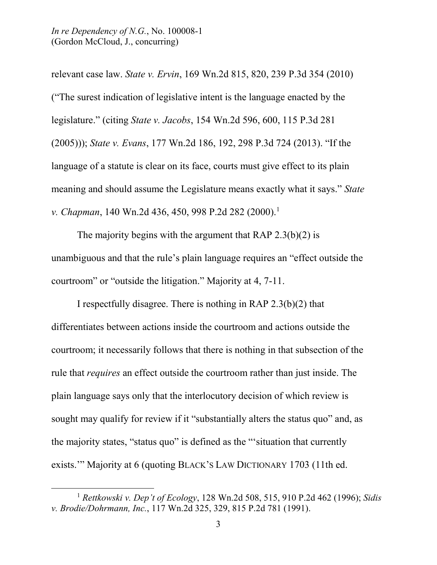relevant case law. *State v. Ervin*, 169 Wn.2d 815, 820, 239 P.3d 354 (2010) ("The surest indication of legislative intent is the language enacted by the legislature." (citing *State v. Jacobs*, 154 Wn.2d 596, 600, 115 P.3d 281 (2005))); *State v. Evans*, 177 Wn.2d 186, 192, 298 P.3d 724 (2013). "If the language of a statute is clear on its face, courts must give effect to its plain meaning and should assume the Legislature means exactly what it says." *State v. Chapman*, 140 Wn.2d 436, 450, 998 P.2d 282 (2000). [1](#page-19-0)

The majority begins with the argument that RAP 2.3(b)(2) is unambiguous and that the rule's plain language requires an "effect outside the courtroom" or "outside the litigation." Majority at 4, 7-11.

I respectfully disagree. There is nothing in RAP 2.3(b)(2) that differentiates between actions inside the courtroom and actions outside the courtroom; it necessarily follows that there is nothing in that subsection of the rule that *requires* an effect outside the courtroom rather than just inside. The plain language says only that the interlocutory decision of which review is sought may qualify for review if it "substantially alters the status quo" and, as the majority states, "status quo" is defined as the "'situation that currently exists.'" Majority at 6 (quoting BLACK'S LAW DICTIONARY 1703 (11th ed.

<span id="page-19-0"></span><sup>1</sup> *Rettkowski v. Dep't of Ecology*, 128 Wn.2d 508, 515, 910 P.2d 462 (1996); *Sidis v. Brodie/Dohrmann, Inc.*, 117 Wn.2d 325, 329, 815 P.2d 781 (1991).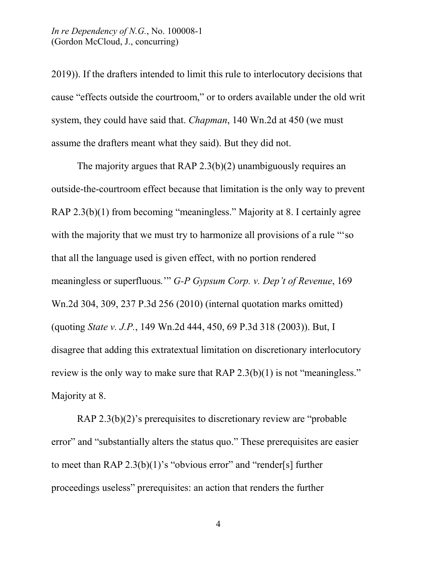2019)). If the drafters intended to limit this rule to interlocutory decisions that cause "effects outside the courtroom," or to orders available under the old writ system, they could have said that. *Chapman*, 140 Wn.2d at 450 (we must assume the drafters meant what they said). But they did not.

The majority argues that RAP 2.3(b)(2) unambiguously requires an outside-the-courtroom effect because that limitation is the only way to prevent RAP 2.3(b)(1) from becoming "meaningless." Majority at 8. I certainly agree with the majority that we must try to harmonize all provisions of a rule "'so that all the language used is given effect, with no portion rendered meaningless or superfluous*.*'" *G-P Gypsum Corp. v. Dep't of Revenue*, 169 Wn.2d 304, 309, 237 P.3d 256 (2010) (internal quotation marks omitted) (quoting *State v. J.P.*, 149 Wn.2d 444, 450, 69 P.3d 318 (2003)). But, I disagree that adding this extratextual limitation on discretionary interlocutory review is the only way to make sure that RAP 2.3(b)(1) is not "meaningless." Majority at 8.

RAP 2.3(b)(2)'s prerequisites to discretionary review are "probable error" and "substantially alters the status quo." These prerequisites are easier to meet than RAP  $2.3(b)(1)$ 's "obvious error" and "render[s] further proceedings useless" prerequisites: an action that renders the further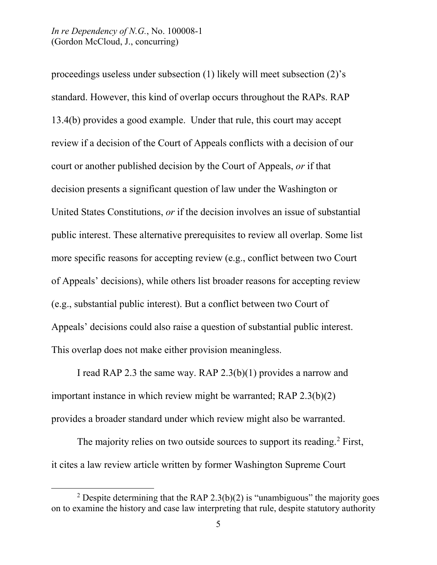proceedings useless under subsection (1) likely will meet subsection (2)'s standard. However, this kind of overlap occurs throughout the RAPs. RAP 13.4(b) provides a good example. Under that rule, this court may accept review if a decision of the Court of Appeals conflicts with a decision of our court or another published decision by the Court of Appeals, *or* if that decision presents a significant question of law under the Washington or United States Constitutions, *or* if the decision involves an issue of substantial public interest. These alternative prerequisites to review all overlap. Some list more specific reasons for accepting review (e.g., conflict between two Court of Appeals' decisions), while others list broader reasons for accepting review (e.g., substantial public interest). But a conflict between two Court of Appeals' decisions could also raise a question of substantial public interest. This overlap does not make either provision meaningless.

I read RAP 2.3 the same way. RAP 2.3(b)(1) provides a narrow and important instance in which review might be warranted; RAP 2.3(b)(2) provides a broader standard under which review might also be warranted.

The majority relies on two outside sources to support its reading.<sup>[2](#page-21-0)</sup> First, it cites a law review article written by former Washington Supreme Court

<span id="page-21-0"></span><sup>&</sup>lt;sup>2</sup> Despite determining that the RAP 2.3(b)(2) is "unambiguous" the majority goes on to examine the history and case law interpreting that rule, despite statutory authority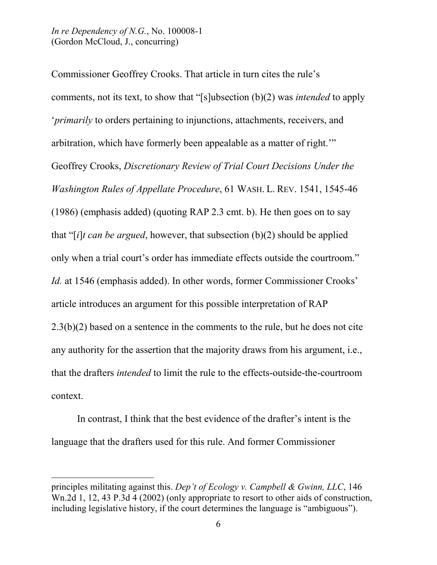Commissioner Geoffrey Crooks. That article in turn cites the rule's comments, not its text, to show that "[s]ubsection (b)(2) was *intended* to apply '*primarily* to orders pertaining to injunctions, attachments, receivers, and arbitration, which have formerly been appealable as a matter of right.'" Geoffrey Crooks, *Discretionary Review of Trial Court Decisions Under the Washington Rules of Appellate Procedure*, 61 WASH. L. REV. 1541, 1545-46 (1986) (emphasis added) (quoting RAP 2.3 cmt. b). He then goes on to say that "[*i*]*t can be argued*, however, that subsection (b)(2) should be applied only when a trial court's order has immediate effects outside the courtroom." *Id.* at 1546 (emphasis added). In other words, former Commissioner Crooks' article introduces an argument for this possible interpretation of RAP 2.3(b)(2) based on a sentence in the comments to the rule, but he does not cite any authority for the assertion that the majority draws from his argument, i.e., that the drafters *intended* to limit the rule to the effects-outside-the-courtroom context.

In contrast, I think that the best evidence of the drafter's intent is the language that the drafters used for this rule. And former Commissioner

principles militating against this. *Dep't of Ecology v. Campbell & Gwinn, LLC*, 146 Wn.2d 1, 12, 43 P.3d 4 (2002) (only appropriate to resort to other aids of construction, including legislative history, if the court determines the language is "ambiguous").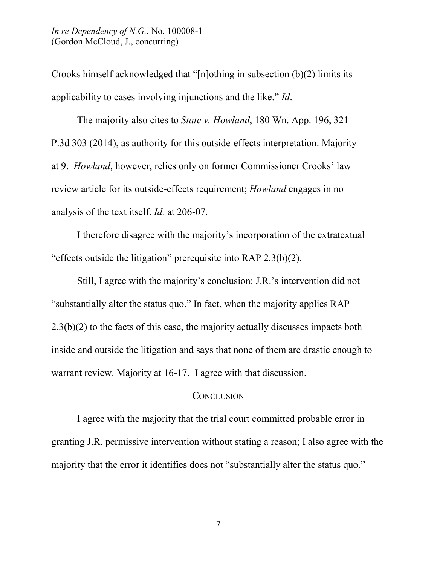Crooks himself acknowledged that "[n]othing in subsection (b)(2) limits its applicability to cases involving injunctions and the like." *Id*.

The majority also cites to *State v. Howland*, 180 Wn. App. 196, 321 P.3d 303 (2014), as authority for this outside-effects interpretation. Majority at 9. *Howland*, however, relies only on former Commissioner Crooks' law review article for its outside-effects requirement; *Howland* engages in no analysis of the text itself. *Id.* at 206-07.

I therefore disagree with the majority's incorporation of the extratextual "effects outside the litigation" prerequisite into RAP 2.3(b)(2).

Still, I agree with the majority's conclusion: J.R.'s intervention did not "substantially alter the status quo." In fact, when the majority applies RAP 2.3(b)(2) to the facts of this case, the majority actually discusses impacts both inside and outside the litigation and says that none of them are drastic enough to warrant review. Majority at 16-17. I agree with that discussion.

# **CONCLUSION**

I agree with the majority that the trial court committed probable error in granting J.R. permissive intervention without stating a reason; I also agree with the majority that the error it identifies does not "substantially alter the status quo."